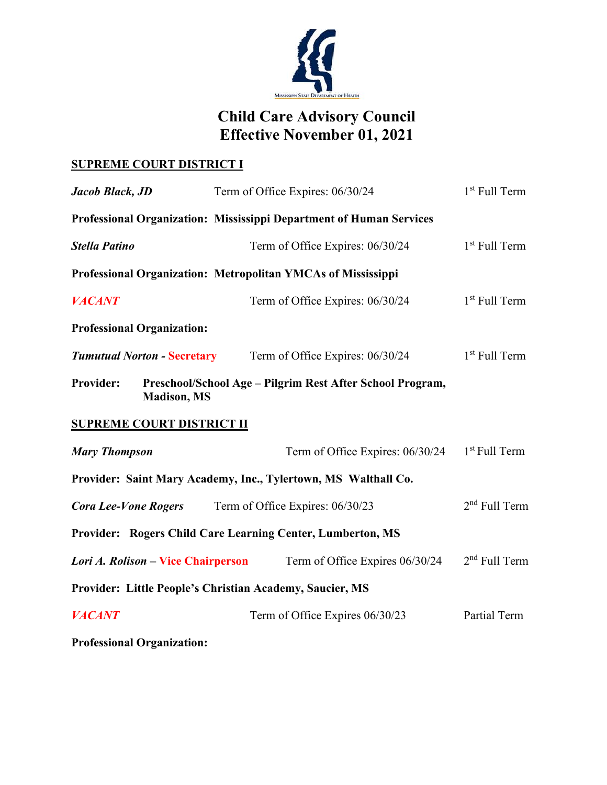

## **Child Care Advisory Council Effective November 01, 2021**

## **SUPREME COURT DISTRICT I**

| Jacob Black, JD                    | Term of Office Expires: 06/30/24                                    | 1 <sup>st</sup> Full Term |
|------------------------------------|---------------------------------------------------------------------|---------------------------|
|                                    | Professional Organization: Mississippi Department of Human Services |                           |
| <b>Stella Patino</b>               | Term of Office Expires: 06/30/24                                    | $1st$ Full Term           |
|                                    | Professional Organization: Metropolitan YMCAs of Mississippi        |                           |
| <b>VACANT</b>                      | Term of Office Expires: 06/30/24                                    | $1st$ Full Term           |
| <b>Professional Organization:</b>  |                                                                     |                           |
| <b>Tumutual Norton - Secretary</b> | Term of Office Expires: 06/30/24                                    | $1st$ Full Term           |
| Provider:<br><b>Madison</b> , MS   | Preschool/School Age - Pilgrim Rest After School Program,           |                           |
| <b>SUPREME COURT DISTRICT II</b>   |                                                                     |                           |
| <b>Mary Thompson</b>               | Term of Office Expires: 06/30/24                                    | 1 <sup>st</sup> Full Term |
|                                    | Provider: Saint Mary Academy, Inc., Tylertown, MS Walthall Co.      |                           |
| <b>Cora Lee-Vone Rogers</b>        | Term of Office Expires: 06/30/23                                    | $2nd$ Full Term           |
|                                    | Provider: Rogers Child Care Learning Center, Lumberton, MS          |                           |
| Lori A. Rolison – Vice Chairperson | Term of Office Expires 06/30/24                                     | $2nd$ Full Term           |
|                                    | Provider: Little People's Christian Academy, Saucier, MS            |                           |
| <b>VACANT</b>                      | Term of Office Expires 06/30/23                                     | Partial Term              |
| <b>Professional Organization:</b>  |                                                                     |                           |